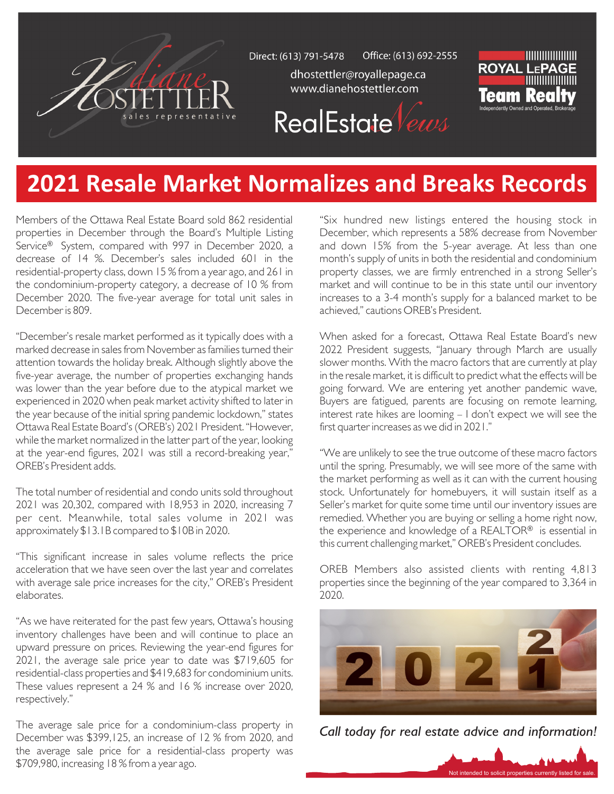

Office: (613) 692-2555 Direct: (613) 791-5478

> dhostettler@royallepage.ca www.dianehostettler.com



**RealEstate** Vews

## **2021 Resale Market Normalizes and Breaks Records**

Members of the Ottawa Real Estate Board sold 862 residential properties in December through the Board's Multiple Listing Service<sup>®</sup> System, compared with 997 in December 2020, a decrease of 14 %. December's sales included 601 in the residential-property class, down 15 % from a year ago, and 261 in the condominium-property category, a decrease of 10 % from December 2020. The five-year average for total unit sales in December is 809.

"December's resale market performed as it typically does with a marked decrease in sales from November as families turned their attention towards the holiday break. Although slightly above the five-year average, the number of properties exchanging hands was lower than the year before due to the atypical market we experienced in 2020 when peak market activity shifted to later in the year because of the initial spring pandemic lockdown," states Ottawa Real Estate Board's (OREB's) 2021 President. "However, while the market normalized in the latter part of the year, looking at the year-end figures, 2021 was still a record-breaking year," OREB's President adds.

The total number of residential and condo units sold throughout 2021 was 20,302, compared with 18,953 in 2020, increasing 7 per cent. Meanwhile, total sales volume in 2021 was approximately \$13.1B compared to \$10B in 2020.

"This significant increase in sales volume reflects the price acceleration that we have seen over the last year and correlates with average sale price increases for the city," OREB's President elaborates.

"As we have reiterated for the past few years, Ottawa's housing inventory challenges have been and will continue to place an upward pressure on prices. Reviewing the year-end figures for 2021, the average sale price year to date was \$719,605 for residential-class properties and \$419,683 for condominium units. These values represent a 24 % and 16 % increase over 2020, respectively."

The average sale price for a condominium-class property in December was \$399,125, an increase of 12 % from 2020, and the average sale price for a residential-class property was \$709,980, increasing 18 % from a year ago.

"Six hundred new listings entered the housing stock in December, which represents a 58% decrease from November and down 15% from the 5-year average. At less than one month's supply of units in both the residential and condominium property classes, we are firmly entrenched in a strong Seller's market and will continue to be in this state until our inventory increases to a 3-4 month's supply for a balanced market to be achieved," cautions OREB's President.

When asked for a forecast, Ottawa Real Estate Board's new 2022 President suggests, "January through March are usually slower months. With the macro factors that are currently at play in the resale market, it is difficult to predict what the effects will be going forward. We are entering yet another pandemic wave, Buyers are fatigued, parents are focusing on remote learning, interest rate hikes are looming – I don't expect we will see the first quarter increases as we did in 2021."

"We are unlikely to see the true outcome of these macro factors until the spring. Presumably, we will see more of the same with the market performing as well as it can with the current housing stock. Unfortunately for homebuyers, it will sustain itself as a Seller's market for quite some time until our inventory issues are remedied. Whether you are buying or selling a home right now, the experience and knowledge of a REALTOR® is essential in this current challenging market," OREB's President concludes.

OREB Members also assisted clients with renting 4,813 properties since the beginning of the year compared to 3,364 in 2020.



*Call today for real estate advice and information!*